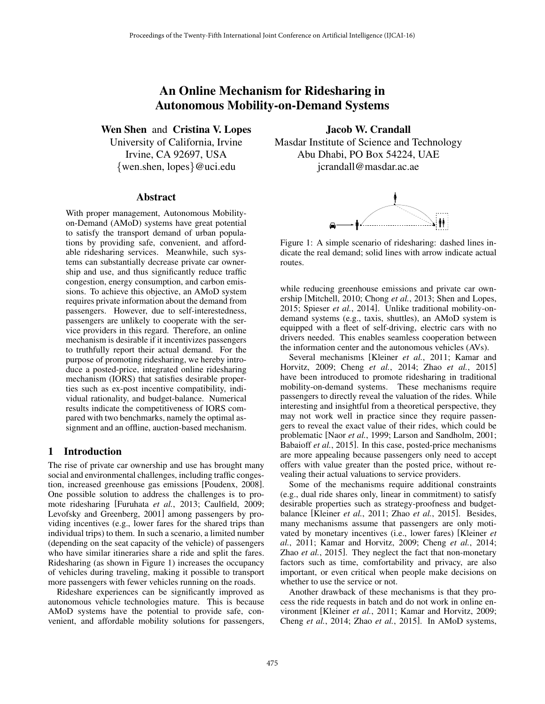# An Online Mechanism for Ridesharing in Autonomous Mobility-on-Demand Systems

Wen Shen and Cristina V. Lopes

University of California, Irvine Irvine, CA 92697, USA *{*wen.shen, lopes*}*@uci.edu

#### Abstract

With proper management, Autonomous Mobilityon-Demand (AMoD) systems have great potential to satisfy the transport demand of urban populations by providing safe, convenient, and affordable ridesharing services. Meanwhile, such systems can substantially decrease private car ownership and use, and thus significantly reduce traffic congestion, energy consumption, and carbon emissions. To achieve this objective, an AMoD system requires private information about the demand from passengers. However, due to self-interestedness, passengers are unlikely to cooperate with the service providers in this regard. Therefore, an online mechanism is desirable if it incentivizes passengers to truthfully report their actual demand. For the purpose of promoting ridesharing, we hereby introduce a posted-price, integrated online ridesharing mechanism (IORS) that satisfies desirable properties such as ex-post incentive compatibility, individual rationality, and budget-balance. Numerical results indicate the competitiveness of IORS compared with two benchmarks, namely the optimal assignment and an offline, auction-based mechanism.

### 1 Introduction

The rise of private car ownership and use has brought many social and environmental challenges, including traffic congestion, increased greenhouse gas emissions [Poudenx, 2008]. One possible solution to address the challenges is to promote ridesharing [Furuhata *et al.*, 2013; Caulfield, 2009; Levofsky and Greenberg, 2001] among passengers by providing incentives (e.g., lower fares for the shared trips than individual trips) to them. In such a scenario, a limited number (depending on the seat capacity of the vehicle) of passengers who have similar itineraries share a ride and split the fares. Ridesharing (as shown in Figure 1) increases the occupancy of vehicles during traveling, making it possible to transport more passengers with fewer vehicles running on the roads.

Rideshare experiences can be significantly improved as autonomous vehicle technologies mature. This is because AMoD systems have the potential to provide safe, convenient, and affordable mobility solutions for passengers,

Jacob W. Crandall Masdar Institute of Science and Technology Abu Dhabi, PO Box 54224, UAE jcrandall@masdar.ac.ae



Figure 1: A simple scenario of ridesharing: dashed lines indicate the real demand; solid lines with arrow indicate actual routes.

while reducing greenhouse emissions and private car ownership [Mitchell, 2010; Chong *et al.*, 2013; Shen and Lopes, 2015; Spieser *et al.*, 2014]. Unlike traditional mobility-ondemand systems (e.g., taxis, shuttles), an AMoD system is equipped with a fleet of self-driving, electric cars with no drivers needed. This enables seamless cooperation between the information center and the autonomous vehicles (AVs).

Several mechanisms [Kleiner *et al.*, 2011; Kamar and Horvitz, 2009; Cheng *et al.*, 2014; Zhao *et al.*, 2015] have been introduced to promote ridesharing in traditional mobility-on-demand systems. These mechanisms require passengers to directly reveal the valuation of the rides. While interesting and insightful from a theoretical perspective, they may not work well in practice since they require passengers to reveal the exact value of their rides, which could be problematic [Naor *et al.*, 1999; Larson and Sandholm, 2001; Babaioff *et al.*, 2015]. In this case, posted-price mechanisms are more appealing because passengers only need to accept offers with value greater than the posted price, without revealing their actual valuations to service providers.

Some of the mechanisms require additional constraints (e.g., dual ride shares only, linear in commitment) to satisfy desirable properties such as strategy-proofness and budgetbalance [Kleiner *et al.*, 2011; Zhao *et al.*, 2015]. Besides, many mechanisms assume that passengers are only motivated by monetary incentives (i.e., lower fares) [Kleiner *et al.*, 2011; Kamar and Horvitz, 2009; Cheng *et al.*, 2014; Zhao *et al.*, 2015]. They neglect the fact that non-monetary factors such as time, comfortability and privacy, are also important, or even critical when people make decisions on whether to use the service or not.

Another drawback of these mechanisms is that they process the ride requests in batch and do not work in online environment [Kleiner et al., 2011; Kamar and Horvitz, 2009; Cheng *et al.*, 2014; Zhao *et al.*, 2015]. In AMoD systems,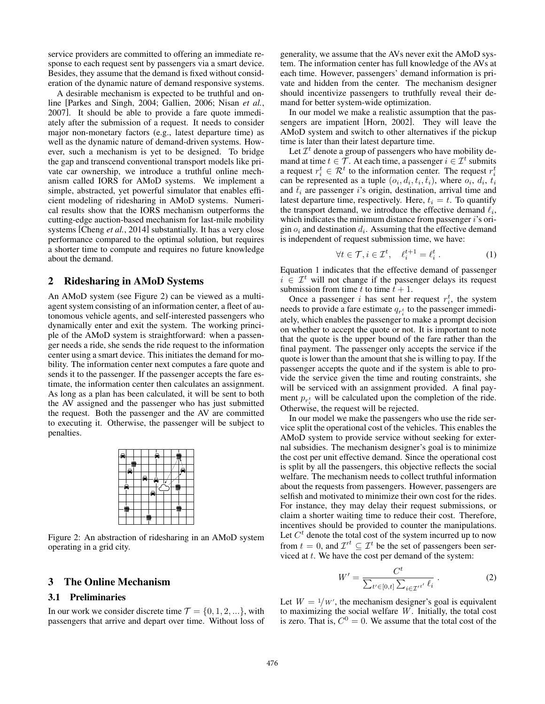service providers are committed to offering an immediate response to each request sent by passengers via a smart device. Besides, they assume that the demand is fixed without consideration of the dynamic nature of demand responsive systems.

A desirable mechanism is expected to be truthful and online [Parkes and Singh, 2004; Gallien, 2006; Nisan *et al.*, 2007]. It should be able to provide a fare quote immediately after the submission of a request. It needs to consider major non-monetary factors (e.g., latest departure time) as well as the dynamic nature of demand-driven systems. However, such a mechanism is yet to be designed. To bridge the gap and transcend conventional transport models like private car ownership, we introduce a truthful online mechanism called IORS for AMoD systems. We implement a simple, abstracted, yet powerful simulator that enables efficient modeling of ridesharing in AMoD systems. Numerical results show that the IORS mechanism outperforms the cutting-edge auction-based mechanism for last-mile mobility systems [Cheng *et al.*, 2014] substantially. It has a very close performance compared to the optimal solution, but requires a shorter time to compute and requires no future knowledge about the demand.

# 2 Ridesharing in AMoD Systems

An AMoD system (see Figure 2) can be viewed as a multiagent system consisting of an information center, a fleet of autonomous vehicle agents, and self-interested passengers who dynamically enter and exit the system. The working principle of the AMoD system is straightforward: when a passenger needs a ride, she sends the ride request to the information center using a smart device. This initiates the demand for mobility. The information center next computes a fare quote and sends it to the passenger. If the passenger accepts the fare estimate, the information center then calculates an assignment. As long as a plan has been calculated, it will be sent to both the AV assigned and the passenger who has just submitted the request. Both the passenger and the AV are committed to executing it. Otherwise, the passenger will be subject to penalties.

Figure 2: An abstraction of ridesharing in an AMoD system operating in a grid city.

# 3 The Online Mechanism

#### 3.1 Preliminaries

In our work we consider discrete time  $\mathcal{T} = \{0, 1, 2, ...\}$ , with passengers that arrive and depart over time. Without loss of generality, we assume that the AVs never exit the AMoD system. The information center has full knowledge of the AVs at each time. However, passengers' demand information is private and hidden from the center. The mechanism designer should incentivize passengers to truthfully reveal their demand for better system-wide optimization.

In our model we make a realistic assumption that the passengers are impatient [Horn, 2002]. They will leave the AMoD system and switch to other alternatives if the pickup time is later than their latest departure time.

Let  $\mathcal{I}^t$  denote a group of passengers who have mobility demand at time  $t \in \mathcal{T}$ . At each time, a passenger  $i \in \mathcal{I}^t$  submits a request  $r_i^t \in \mathcal{R}^t$  to the information center. The request  $r_i^t$ can be represented as a tuple  $(o_i, d_i, t_i, \bar{t}_i)$ , where  $o_i, d_i, t_i$ and  $\bar{t}_i$  are passenger *i*'s origin, destination, arrival time and latest departure time, respectively. Here,  $t_i = t$ . To quantify the transport demand, we introduce the effective demand  $\ell_i$ , which indicates the minimum distance from passenger *i*'s origin  $o_i$  and destination  $d_i$ . Assuming that the effective demand is independent of request submission time, we have:

$$
\forall t \in \mathcal{T}, i \in \mathcal{I}^t, \quad \ell_i^{t+1} = \ell_i^t \,. \tag{1}
$$

Equation 1 indicates that the effective demand of passenger  $i \in \mathcal{I}^t$  will not change if the passenger delays its request submission from time  $t$  to time  $t + 1$ .

Once a passenger *i* has sent her request  $r_i^t$ , the system needs to provide a fare estimate  $q_{r_i^t}$  to the passenger immediately, which enables the passenger to make a prompt decision on whether to accept the quote or not. It is important to note that the quote is the upper bound of the fare rather than the final payment. The passenger only accepts the service if the quote is lower than the amount that she is willing to pay. If the passenger accepts the quote and if the system is able to provide the service given the time and routing constraints, she will be serviced with an assignment provided. A final payment  $p_{r_i^t}$  will be calculated upon the completion of the ride. Otherwise, the request will be rejected.

In our model we make the passengers who use the ride service split the operational cost of the vehicles. This enables the AMoD system to provide service without seeking for external subsidies. The mechanism designer's goal is to minimize the cost per unit effective demand. Since the operational cost is split by all the passengers, this objective reflects the social welfare. The mechanism needs to collect truthful information about the requests from passengers. However, passengers are selfish and motivated to minimize their own cost for the rides. For instance, they may delay their request submissions, or claim a shorter waiting time to reduce their cost. Therefore, incentives should be provided to counter the manipulations. Let  $C<sup>t</sup>$  denote the total cost of the system incurred up to now from  $t = 0$ , and  $\mathcal{I}'^t \subseteq \mathcal{I}^t$  be the set of passengers been serviced at *t*. We have the cost per demand of the system:

$$
W' = \frac{C^t}{\sum_{t' \in [0,t]} \sum_{i \in \mathcal{I}'} t'} \tag{2}
$$

Let  $W = \frac{1}{W}$ , the mechanism designer's goal is equivalent to maximizing the social welfare *W*. Initially, the total cost is zero. That is,  $C^0 = 0$ . We assume that the total cost of the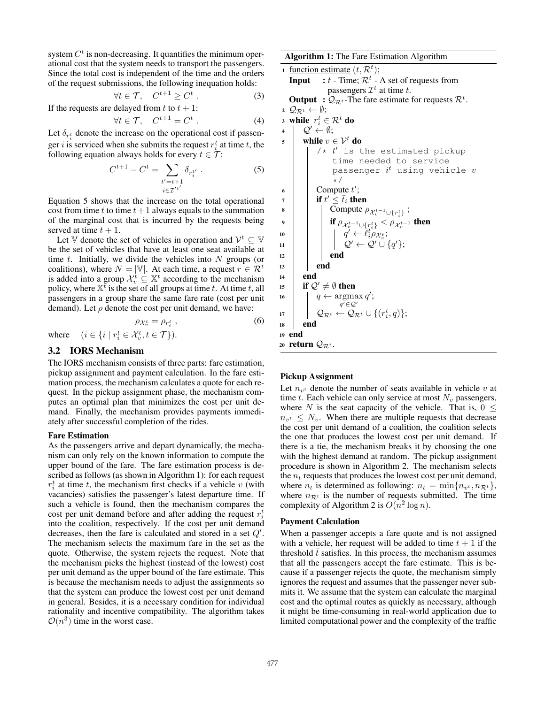system  $C<sup>t</sup>$  is non-decreasing. It quantifies the minimum operational cost that the system needs to transport the passengers. Since the total cost is independent of the time and the orders of the request submissions, the following inequation holds:

$$
\forall t \in \mathcal{T}, \quad C^{t+1} \ge C^t \,. \tag{3}
$$

If the requests are delayed from  $t$  to  $t + 1$ :

$$
\forall t \in \mathcal{T}, \quad C^{t+1} = C^t \,. \tag{4}
$$

Let  $\delta_{r_i^t}$  denote the increase on the operational cost if passenger *i* is serviced when she submits the request  $r_i^t$  at time *t*, the following equation always holds for every  $t \in \mathcal{T}$ :

$$
C^{t+1} - C^t = \sum_{\substack{t'=t+1\\i \in \mathcal{I}^{t'}}} \delta_{r_i^{t'}} . \tag{5}
$$

Equation 5 shows that the increase on the total operational cost from time  $t$  to time  $t + 1$  always equals to the summation of the marginal cost that is incurred by the requests being served at time  $t + 1$ .

Let V denote the set of vehicles in operation and  $V^t \subseteq V$ be the set of vehicles that have at least one seat available at time *t*. Initially, we divide the vehicles into *N* groups (or coalitions), where  $N = |\mathbb{V}|$ . At each time, a request  $r \in \mathcal{R}^t$ is added into a group  $\mathcal{X}_v^t \subseteq \mathbb{X}^t$  according to the mechanism policy, where  $X^t$  is the set of all groups at time *t*. At time *t*, all passengers in a group share the same fare rate (cost per unit demand). Let  $\rho$  denote the cost per unit demand, we have:

$$
\rho_{\mathcal{X}_{v}^{t}} = \rho_{r_{i}^{t}} ,
$$
\n
$$
\text{where} \quad (i \in \{i \mid r_{i}^{t} \in \mathcal{X}_{v}^{t}, t \in \mathcal{T} \}).
$$
\n
$$
(6)
$$

#### 3.2 IORS Mechanism

The IORS mechanism consists of three parts: fare estimation, pickup assignment and payment calculation. In the fare estimation process, the mechanism calculates a quote for each request. In the pickup assignment phase, the mechanism computes an optimal plan that minimizes the cost per unit demand. Finally, the mechanism provides payments immediately after successful completion of the rides.

#### Fare Estimation

As the passengers arrive and depart dynamically, the mechanism can only rely on the known information to compute the upper bound of the fare. The fare estimation process is described as follows (as shown in Algorithm 1): for each request  $r_i^t$  at time *t*, the mechanism first checks if a vehicle *v* (with vacancies) satisfies the passenger's latest departure time. If such a vehicle is found, then the mechanism compares the cost per unit demand before and after adding the request *r<sup>t</sup> i* into the coalition, respectively. If the cost per unit demand decreases, then the fare is calculated and stored in a set  $Q'$ . The mechanism selects the maximum fare in the set as the quote. Otherwise, the system rejects the request. Note that the mechanism picks the highest (instead of the lowest) cost per unit demand as the upper bound of the fare estimate. This is because the mechanism needs to adjust the assignments so that the system can produce the lowest cost per unit demand in general. Besides, it is a necessary condition for individual rationality and incentive compatibility. The algorithm takes  $O(n^3)$  time in the worst case.

Algorithm 1: The Fare Estimation Algorithm

1 <u>function estimate</u>  $(t, \mathcal{R}^t)$ ; **Input** :  $t$  - Time;  $\mathcal{R}^t$  - A set of requests from passengers  $\mathcal{I}^t$  at time  $t$ . **Output** :  $Q_{\mathcal{R}^t}$ -The fare estimate for requests  $\mathcal{R}^t$ . 2  $\mathcal{Q}_{\mathcal{R}^t} \leftarrow \emptyset;$ 3 while  $r_i^t \in \mathcal{R}^t$  do  $4 \mid \mathcal{Q}' \leftarrow \emptyset;$ 5 while  $v \in \mathcal{V}^t$  do  $/* t'$  is the estimated pickup time needed to service passenger *i <sup>t</sup>* using vehicle *v* \*/ 6  $\Box$  Compute  $t'$ ;  $\begin{array}{c|c}\n\hline\n\end{array}$  if  $t' \leq \bar{t}_i$  then 8  $\left| \begin{array}{c} \end{array} \right|$  Compute  $\rho_{\mathcal{X}_{v}^{t-1}\cup \{r_{i}^{t}\}}$ ;  $\phi$  if  $\rho_{\mathcal{X}_{v}^{t-1} \cup \{r_{i}^{t}\}} < \rho_{\mathcal{X}_{v}^{t-1}}$  then 10  $q' \leftarrow \ell_i^t \rho_{\mathcal{X}_v^t};$  $\mathcal{Q}' \leftarrow \mathcal{Q}' \cup \{q'\};$  $12$  | | end  $13$  end <sup>14</sup> end 15 if  $\mathcal{Q}' \neq \emptyset$  then 16  $q \leftarrow \argmax_{i \in \mathcal{O}} q'$ ;  $q^{\prime} \in \mathcal{Q}^{\prime}$  $\mathcal{Q}_{\mathcal{R}^t} \leftarrow \mathcal{Q}_{\mathcal{R}^t} \cup \{(r_i^t, q)\};$ <sup>18</sup> end <sup>19</sup> end 20 **return**  $\mathcal{Q}_{\mathcal{R}^t}$ .

#### Pickup Assignment

Let  $n_{v^t}$  denote the number of seats available in vehicle  $v$  at time *t*. Each vehicle can only service at most  $N_v$  passengers, where *N* is the seat capacity of the vehicle. That is,  $0 \le$  $n_{v}$ <sup> $\epsilon$ </sup>  $N_{v}$ . When there are multiple requests that decrease the cost per unit demand of a coalition, the coalition selects the one that produces the lowest cost per unit demand. If there is a tie, the mechanism breaks it by choosing the one with the highest demand at random. The pickup assignment procedure is shown in Algorithm 2. The mechanism selects the  $n_t$  requests that produces the lowest cost per unit demand, where  $n_t$  is determined as following:  $n_t = \min\{n_{n^t}, n_{\mathcal{R}^t}\},$ where  $n_{\mathcal{R}^t}$  is the number of requests submitted. The time complexity of Algorithm 2 is  $O(n^2 \log n)$ .

#### Payment Calculation

When a passenger accepts a fare quote and is not assigned with a vehicle, her request will be added to time  $t + 1$  if the threshold  $\bar{t}$  satisfies. In this process, the mechanism assumes that all the passengers accept the fare estimate. This is because if a passenger rejects the quote, the mechanism simply ignores the request and assumes that the passenger never submits it. We assume that the system can calculate the marginal cost and the optimal routes as quickly as necessary, although it might be time-consuming in real-world application due to limited computational power and the complexity of the traffic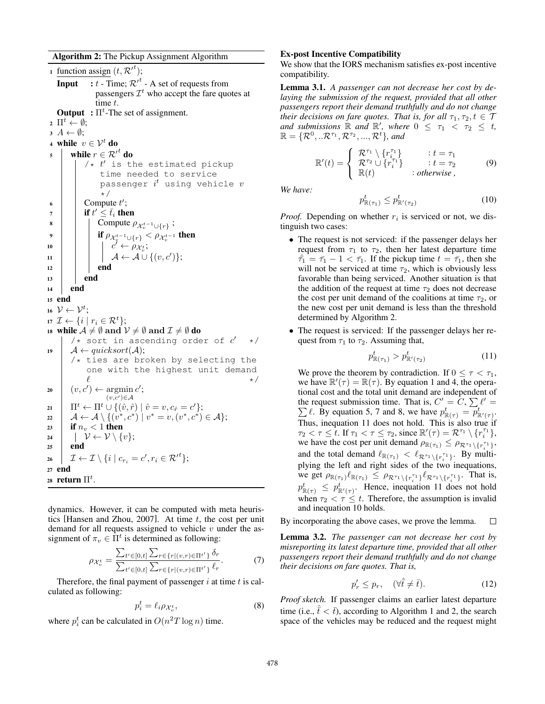Algorithm 2: The Pickup Assignment Algorithm

1 <u>function assign</u>  $(t, \mathcal{R}'^t)$ ; **Input** :  $t$  - Time;  $\mathcal{R}^{\prime t}$  - A set of requests from passengers  $\mathcal{I}^t$  who accept the fare quotes at time *t*. **Output** :  $\Pi^t$ -The set of assignment.  $\mathbf{1}^t \leftarrow \emptyset;$  $A \leftarrow \emptyset;$ 4 while  $v \in \mathcal{V}^t$  do while  $r \in \mathcal{R}^{\prime t}$  do  $/* t'$  is the estimated pickup time needed to service passenger *i <sup>t</sup>* using vehicle *v* \*/ 6  $\Box$  Compute  $t'$ ;  $\begin{array}{c|c}\n\hline\n\end{array}$  if  $t' \leq \bar{t}_i$  then  $\mathbf{s}$  | | Compute  $\rho_{\mathcal{X}_{v}^{t-1}\cup\{r\}}$ ; 9 if  $\rho_{\mathcal{X}_{v}^{t-1} \cup \{r\}} < \rho_{\mathcal{X}_{v}^{t-1}}$  then<br>  $\begin{array}{c} \n\cdot & \downarrow \ \n\cdot & \downarrow \ \n\cdot & \downarrow \ \n\cdot & \downarrow \ \n\cdot & \downarrow \n\end{array}$ 10  $c' \leftarrow \rho_{\mathcal{X}_v^t};$  $\begin{array}{|c|c|c|c|}\n\hline\n11 & & A \leftarrow \mathcal{A} \cup \{(v, c')\};\n\end{array}$  $12$  end  $13$  end <sup>14</sup> end <sup>15</sup> end 16  $\mathcal{V} \leftarrow \mathcal{V}^t$ ;  $\mathcal{I} \leftarrow \{i \mid r_i \in \mathcal{R}^t\};$ 18 while  $A \neq \emptyset$  and  $V \neq \emptyset$  and  $\mathcal{I} \neq \emptyset$  do  $/*$  sort in ascending order of  $c'$ 19  $\downarrow$  *A*  $\leftarrow$  *quicksort*(*A*);  $/*$  ties are broken by selecting the one with the highest unit demand  $\ell$   $\star$  /  $\mathbf{u} \cdot \mathbf{v} \cdot \mathbf{v} \cdot \mathbf{v} \cdot \mathbf{v} \cdot \mathbf{v} \cdot \mathbf{v} \cdot \mathbf{v} \cdot \mathbf{v} \cdot \mathbf{v} \cdot \mathbf{v} \cdot \mathbf{v} \cdot \mathbf{v} \cdot \mathbf{v} \cdot \mathbf{v} \cdot \mathbf{v} \cdot \mathbf{v} \cdot \mathbf{v} \cdot \mathbf{v} \cdot \mathbf{v} \cdot \mathbf{v} \cdot \mathbf{v} \cdot \mathbf{v} \cdot \mathbf{v} \cdot \mathbf{v} \cdot \mathbf{v} \cdot \mathbf{v} \cdot \mathbf{$  $(v, c') \in \mathcal{A}$  $\prod^{t} \leftarrow \prod^{t} \cup \{ (\hat{v}, \hat{r}) \mid \hat{v} = v, c_{\hat{r}} = c' \};$  $22 \left\{\n\begin{array}{l}\n\mathcal{A} \leftarrow \mathcal{A} \setminus \{(v^*, c^*) \mid v^* = v, (v^*, c^*) \in \mathcal{A}\};\n\end{array}\n\right.$ <br>  $23 \left\{\n\begin{array}{l}\n\text{if } n_n < 1 \text{ then}\n\end{array}\n\right.\n\right.$ if  $n_v < 1$  then  $\begin{array}{ccc} \n\mathbf{24} & \mathbf{25} \\
\mathbf{25} & \mathbf{end}\n\end{array}$ end  $\mathcal{I} \leftarrow \mathcal{I} \setminus \{i \mid c_{r_i} = c', r_i \in \mathcal{R'}^t\};$ <sup>27</sup> end 28 **return**  $\Pi^t$ .

dynamics. However, it can be computed with meta heuristics [Hansen and Zhou, 2007]. At time *t*, the cost per unit demand for all requests assigned to vehicle *v* under the assignment of  $\pi_v \in \overline{\Pi}^t$  is determined as following:

$$
\rho_{\mathcal{X}_{v}^{t}} = \frac{\sum_{t' \in [0,t]} \sum_{r \in \{r | (v,r) \in \Pi^{t'}\}} \delta_{r}}{\sum_{t' \in [0,t]} \sum_{r \in \{r | (v,r) \in \Pi^{t'}\}} \ell_{r}}.
$$
(7)

Therefore, the final payment of passenger *i* at time *t* is calculated as following:

$$
p_i^t = \ell_i \rho_{\mathcal{X}_v^t},\tag{8}
$$

where  $p_i^t$  can be calculated in  $O(n^2T \log n)$  time.

#### Ex-post Incentive Compatibility

We show that the IORS mechanism satisfies ex-post incentive compatibility.

Lemma 3.1. *A passenger can not decrease her cost by delaying the submission of the request, provided that all other passengers report their demand truthfully and do not change their decisions on fare quotes. That is, for all*  $\tau_1, \tau_2, t \in \mathcal{T}$ *and submissions*  $\mathbb{R}$  *and*  $\mathbb{R}'$ *, where*  $0 \leq \tau_1 < \tau_2 \leq t$ *,*  $\mathbb{R} = {\mathcal{R}^0, . . \mathcal{R}^{\tau_1}, \mathcal{R}^{\tau_2}, ..., \mathcal{R}^t}$ , and

$$
\mathbb{R}'(t) = \begin{cases}\n\mathcal{R}^{\tau_1} \setminus \{r_i^{\tau_1}\} & : t = \tau_1 \\
\mathcal{R}^{\tau_2} \cup \{r_i^{\tau_1}\} & : t = \tau_2 \\
\mathbb{R}(t) & : otherwise\n\end{cases}
$$
\n(9)

*We have:*

$$
p_{\mathbb{R}(\tau_1)}^t \le p_{\mathbb{R}'(\tau_2)}^t \tag{10}
$$

*Proof.* Depending on whether  $r_i$  is serviced or not, we distinguish two cases:

- *•* The request is not serviced: if the passenger delays her request from  $\tau_1$  to  $\tau_2$ , then her latest departure time  $\hat{\tau}_1 = \bar{\tau}_1 - 1 < \bar{\tau}_1$ . If the pickup time  $t = \bar{\tau}_1$ , then she will not be serviced at time  $\tau_2$ , which is obviously less favorable than being serviced. Another situation is that the addition of the request at time  $\tau_2$  does not decrease the cost per unit demand of the coalitions at time  $\tau_2$ , or the new cost per unit demand is less than the threshold determined by Algorithm 2.
- The request is serviced: If the passenger delays her request from  $\tau_1$  to  $\tau_2$ . Assuming that,

$$
p^t_{\mathbb{R}(\tau_1)} > p^t_{\mathbb{R}'(\tau_2)}
$$
\n(11)

We prove the theorem by contradiction. If  $0 \leq \tau \leq \tau_1$ , we have  $\mathbb{R}'(\tau) = \mathbb{R}(\tau)$ . By equation 1 and 4, the operational cost and the total unit demand are independent of the request submission time. That is,  $C' = C$ ,  $\sum \ell' = \sum \ell$ , By equation 5, 7 and 8, we have  $p_{m(\lambda)}^t = p_{m(\lambda)}^t$ .  $\ell$ . By equation 5, 7 and 8, we have  $p^t_{\mathbb{R}(\tau)} = \overline{p}^t_{\mathbb{R}'(\tau)}$ . Thus, inequation 11 does not hold. This is also true if  $\tau_2 < \tau \leq t$ . If  $\tau_1 < \tau \leq \tau_2$ , since  $\mathbb{R}'(\tau) = \mathcal{R}^{\tau_1} \setminus \{r_i^{\tau_1}\},$ we have the cost per unit demand  $\rho_{\mathbb{R}(\tau_1)} \leq \rho_{\mathcal{R}^{\tau_1} \setminus \{r_i^{\tau_1}\}}$ , and the total demand  $\ell_{\mathbb{R}(\tau_1)} < \ell_{\mathcal{R}^{\tau_1} \setminus \{r_i^{\tau_1}\}}$ . By multiplying the left and right sides of the two inequations, we get  $\rho_{\mathbb{R}(\tau_1)} \ell_{\mathbb{R}(\tau_1)} \le \rho_{\mathcal{R}^{\tau_1} \setminus \{r_i^{\tau_1}\}} \ell_{\mathcal{R}^{\tau_1} \setminus \{r_i^{\tau_1}\}}$ . That is,  $p_{\mathbb{R}(\tau)}^t \leq p_{\mathbb{R}'(\tau)}^t$ . Hence, inequation 11 does not hold when  $\tau_2 < \tau \leq t$ . Therefore, the assumption is invalid and inequation 10 holds.

By incorporating the above cases, we prove the lemma.  $\Box$ 

Lemma 3.2. *The passenger can not decrease her cost by misreporting its latest departure time, provided that all other passengers report their demand truthfully and do not change their decisions on fare quotes. That is,*

$$
p'_r \le p_r, \quad (\forall \hat{t} \neq \bar{t}). \tag{12}
$$

*Proof sketch.* If passenger claims an earlier latest departure time (i.e.,  $\hat{\bar{t}} < \bar{t}$ ), according to Algorithm 1 and 2, the search space of the vehicles may be reduced and the request might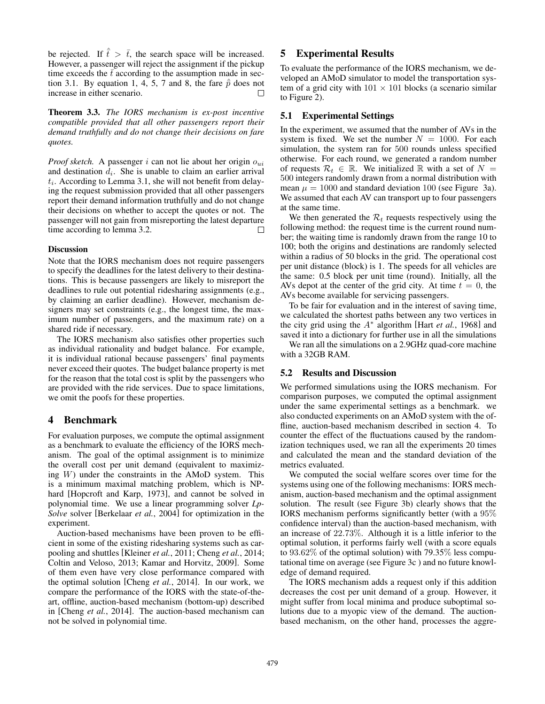be rejected. If  $\hat{\bar{t}} > \bar{t}$ , the search space will be increased. However, a passenger will reject the assignment if the pickup time exceeds the  $\bar{t}$  according to the assumption made in section 3.1. By equation 1, 4, 5, 7 and 8, the fare  $\hat{p}$  does not increase in either scenario.  $\Box$ 

Theorem 3.3. *The IORS mechanism is ex-post incentive compatible provided that all other passengers report their demand truthfully and do not change their decisions on fare quotes.*

*Proof sketch.* A passenger *i* can not lie about her origin *oui* and destination *di*. She is unable to claim an earlier arrival *ti*. According to Lemma 3.1, she will not benefit from delaying the request submission provided that all other passengers report their demand information truthfully and do not change their decisions on whether to accept the quotes or not. The passenger will not gain from misreporting the latest departure time according to lemma 3.2. П

#### Discussion

Note that the IORS mechanism does not require passengers to specify the deadlines for the latest delivery to their destinations. This is because passengers are likely to misreport the deadlines to rule out potential ridesharing assignments (e.g., by claiming an earlier deadline). However, mechanism designers may set constraints (e.g., the longest time, the maximum number of passengers, and the maximum rate) on a shared ride if necessary.

The IORS mechanism also satisfies other properties such as individual rationality and budget balance. For example, it is individual rational because passengers' final payments never exceed their quotes. The budget balance property is met for the reason that the total cost is split by the passengers who are provided with the ride services. Due to space limitations, we omit the poofs for these properties.

### 4 Benchmark

For evaluation purposes, we compute the optimal assignment as a benchmark to evaluate the efficiency of the IORS mechanism. The goal of the optimal assignment is to minimize the overall cost per unit demand (equivalent to maximizing *W*) under the constraints in the AMoD system. This is a minimum maximal matching problem, which is NPhard [Hopcroft and Karp, 1973], and cannot be solved in polynomial time. We use a linear programming solver *Lp-Solve* solver [Berkelaar *et al.*, 2004] for optimization in the experiment.

Auction-based mechanisms have been proven to be efficient in some of the existing ridesharing systems such as carpooling and shuttles [Kleiner *et al.*, 2011; Cheng *et al.*, 2014; Coltin and Veloso, 2013; Kamar and Horvitz, 2009]. Some of them even have very close performance compared with the optimal solution [Cheng *et al.*, 2014]. In our work, we compare the performance of the IORS with the state-of-theart, offline, auction-based mechanism (bottom-up) described in [Cheng *et al.*, 2014]. The auction-based mechanism can not be solved in polynomial time.

# 5 Experimental Results

To evaluate the performance of the IORS mechanism, we developed an AMoD simulator to model the transportation system of a grid city with  $101 \times 101$  blocks (a scenario similar to Figure 2).

#### 5.1 Experimental Settings

In the experiment, we assumed that the number of AVs in the system is fixed. We set the number  $N = 1000$ . For each simulation, the system ran for 500 rounds unless specified otherwise. For each round, we generated a random number of requests  $\mathcal{R}_t \in \mathbb{R}$ . We initialized  $\mathbb{R}$  with a set of  $N =$ 500 integers randomly drawn from a normal distribution with mean  $\mu = 1000$  and standard deviation 100 (see Figure 3a). We assumed that each AV can transport up to four passengers at the same time.

We then generated the  $\mathcal{R}_t$  requests respectively using the following method: the request time is the current round number; the waiting time is randomly drawn from the range 10 to 100; both the origins and destinations are randomly selected within a radius of 50 blocks in the grid. The operational cost per unit distance (block) is 1. The speeds for all vehicles are the same: 0.5 block per unit time (round). Initially, all the AVs depot at the center of the grid city. At time  $t = 0$ , the AVs become available for servicing passengers.

To be fair for evaluation and in the interest of saving time, we calculated the shortest paths between any two vertices in the city grid using the *A*⇤ algorithm [Hart *et al.*, 1968] and saved it into a dictionary for further use in all the simulations

We ran all the simulations on a 2.9GHz quad-core machine with a 32GB RAM.

#### 5.2 Results and Discussion

We performed simulations using the IORS mechanism. For comparison purposes, we computed the optimal assignment under the same experimental settings as a benchmark. we also conducted experiments on an AMoD system with the offline, auction-based mechanism described in section 4. To counter the effect of the fluctuations caused by the randomization techniques used, we ran all the experiments 20 times and calculated the mean and the standard deviation of the metrics evaluated.

We computed the social welfare scores over time for the systems using one of the following mechanisms: IORS mechanism, auction-based mechanism and the optimal assignment solution. The result (see Figure 3b) clearly shows that the IORS mechanism performs significantly better (with a 95% confidence interval) than the auction-based mechanism, with an increase of 22*.*73%. Although it is a little inferior to the optimal solution, it performs fairly well (with a score equals to 93*.*62% of the optimal solution) with 79.35% less computational time on average (see Figure 3c ) and no future knowledge of demand required.

The IORS mechanism adds a request only if this addition decreases the cost per unit demand of a group. However, it might suffer from local minima and produce suboptimal solutions due to a myopic view of the demand. The auctionbased mechanism, on the other hand, processes the aggre-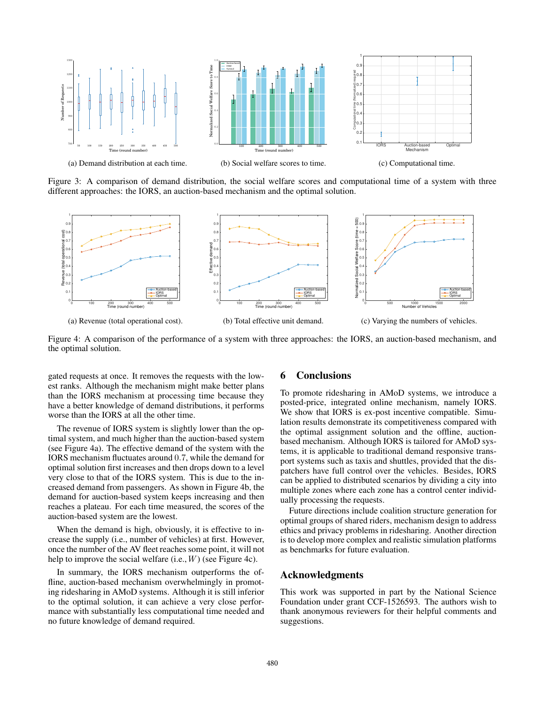

Figure 3: A comparison of demand distribution, the social welfare scores and computational time of a system with three different approaches: the IORS, an auction-based mechanism and the optimal solution.



Figure 4: A comparison of the performance of a system with three approaches: the IORS, an auction-based mechanism, and the optimal solution.

gated requests at once. It removes the requests with the lowest ranks. Although the mechanism might make better plans than the IORS mechanism at processing time because they have a better knowledge of demand distributions, it performs worse than the IORS at all the other time.

The revenue of IORS system is slightly lower than the optimal system, and much higher than the auction-based system (see Figure 4a). The effective demand of the system with the IORS mechanism fluctuates around 0*.*7, while the demand for optimal solution first increases and then drops down to a level very close to that of the IORS system. This is due to the increased demand from passengers. As shown in Figure 4b, the demand for auction-based system keeps increasing and then reaches a plateau. For each time measured, the scores of the auction-based system are the lowest.

When the demand is high, obviously, it is effective to increase the supply (i.e., number of vehicles) at first. However, once the number of the AV fleet reaches some point, it will not help to improve the social welfare (i.e., *W*) (see Figure 4c).

In summary, the IORS mechanism outperforms the offline, auction-based mechanism overwhelmingly in promoting ridesharing in AMoD systems. Although it is still inferior to the optimal solution, it can achieve a very close performance with substantially less computational time needed and no future knowledge of demand required.

#### 6 Conclusions

To promote ridesharing in AMoD systems, we introduce a posted-price, integrated online mechanism, namely IORS. We show that IORS is ex-post incentive compatible. Simulation results demonstrate its competitiveness compared with the optimal assignment solution and the offline, auctionbased mechanism. Although IORS is tailored for AMoD systems, it is applicable to traditional demand responsive transport systems such as taxis and shuttles, provided that the dispatchers have full control over the vehicles. Besides, IORS can be applied to distributed scenarios by dividing a city into multiple zones where each zone has a control center individually processing the requests.

Future directions include coalition structure generation for optimal groups of shared riders, mechanism design to address ethics and privacy problems in ridesharing. Another direction is to develop more complex and realistic simulation platforms as benchmarks for future evaluation.

### Acknowledgments

This work was supported in part by the National Science Foundation under grant CCF-1526593. The authors wish to thank anonymous reviewers for their helpful comments and suggestions.